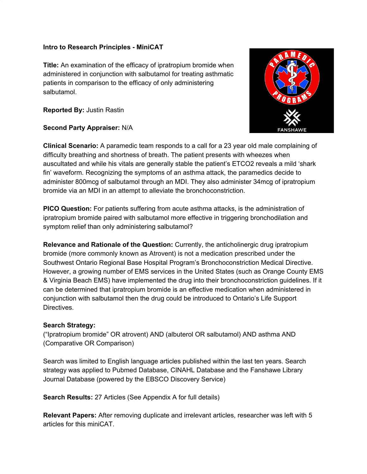### **Intro to Research Principles - MiniCAT**

**Title:** An examination of the efficacy of ipratropium bromide when administered in conjunction with salbutamol for treating asthmatic patients in comparison to the efficacy of only administering salbutamol.

**Reported By:** Justin Rastin

# **Second Party Appraiser:** N/A

**Clinical Scenario:** A paramedic team responds to a call for a 23 year old male complaining of difficulty breathing and shortness of breath. The patient presents with wheezes when auscultated and while his vitals are generally stable the patient's ETCO2 reveals a mild 'shark fin' waveform. Recognizing the symptoms of an asthma attack, the paramedics decide to administer 800mcg of salbutamol through an MDI. They also administer 34mcg of ipratropium bromide via an MDI in an attempt to alleviate the bronchoconstriction.

**PICO Question:** For patients suffering from acute asthma attacks, is the administration of ipratropium bromide paired with salbutamol more effective in triggering bronchodilation and symptom relief than only administering salbutamol?

**Relevance and Rationale of the Question:** Currently, the anticholinergic drug ipratropium bromide (more commonly known as Atrovent) is not a medication prescribed under the Southwest Ontario Regional Base Hospital Program's Bronchoconstriction Medical Directive. However, a growing number of EMS services in the United States (such as Orange County EMS & Virginia Beach EMS) have implemented the drug into their bronchoconstriction guidelines. If it can be determined that ipratropium bromide is an effective medication when administered in conjunction with salbutamol then the drug could be introduced to Ontario's Life Support Directives.

# **Search Strategy:**

("Ipratropium bromide" OR atrovent) AND (albuterol OR salbutamol) AND asthma AND (Comparative OR Comparison)

Search was limited to English language articles published within the last ten years. Search strategy was applied to Pubmed Database, CINAHL Database and the Fanshawe Library Journal Database (powered by the EBSCO Discovery Service)

**Search Results:** 27 Articles (See Appendix A for full details)

**Relevant Papers:** After removing duplicate and irrelevant articles, researcher was left with 5 articles for this miniCAT.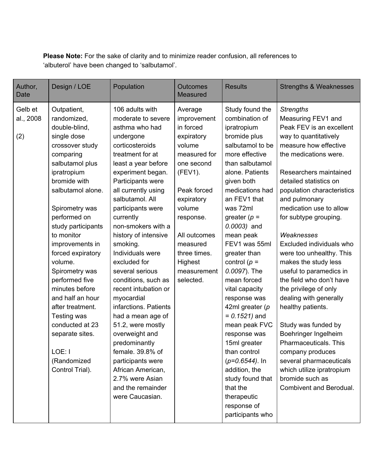**Please Note:** For the sake of clarity and to minimize reader confusion, all references to 'albuterol' have been changed to 'salbutamol'.

| Author,<br><b>Date</b>      | Design / LOE                                                                                                                                                                                                                                                                                                                                                                                                                                                                              | Population                                                                                                                                                                                                                                                                                                                                                                                                                                                                                                                                                                                                                                                            | <b>Outcomes</b><br>Measured                                                                                                                                                                                                                 | <b>Results</b>                                                                                                                                                                                                                                                                                                                                                                                                                                                                                                                                                                                                    | <b>Strengths &amp; Weaknesses</b>                                                                                                                                                                                                                                                                                                                                                                                                                                                                                                                                                                                                                                                                                                   |
|-----------------------------|-------------------------------------------------------------------------------------------------------------------------------------------------------------------------------------------------------------------------------------------------------------------------------------------------------------------------------------------------------------------------------------------------------------------------------------------------------------------------------------------|-----------------------------------------------------------------------------------------------------------------------------------------------------------------------------------------------------------------------------------------------------------------------------------------------------------------------------------------------------------------------------------------------------------------------------------------------------------------------------------------------------------------------------------------------------------------------------------------------------------------------------------------------------------------------|---------------------------------------------------------------------------------------------------------------------------------------------------------------------------------------------------------------------------------------------|-------------------------------------------------------------------------------------------------------------------------------------------------------------------------------------------------------------------------------------------------------------------------------------------------------------------------------------------------------------------------------------------------------------------------------------------------------------------------------------------------------------------------------------------------------------------------------------------------------------------|-------------------------------------------------------------------------------------------------------------------------------------------------------------------------------------------------------------------------------------------------------------------------------------------------------------------------------------------------------------------------------------------------------------------------------------------------------------------------------------------------------------------------------------------------------------------------------------------------------------------------------------------------------------------------------------------------------------------------------------|
| Gelb et<br>al., 2008<br>(2) | Outpatient,<br>randomized,<br>double-blind,<br>single dose<br>crossover study<br>comparing<br>salbutamol plus<br>ipratropium<br>bromide with<br>salbutamol alone.<br>Spirometry was<br>performed on<br>study participants<br>to monitor<br>improvements in<br>forced expiratory<br>volume.<br>Spirometry was<br>performed five<br>minutes before<br>and half an hour<br>after treatment.<br>Testing was<br>conducted at 23<br>separate sites.<br>LOE: I<br>(Randomized<br>Control Trial). | 106 adults with<br>moderate to severe<br>asthma who had<br>undergone<br>corticosteroids<br>treatment for at<br>least a year before<br>experiment began.<br>Participants were<br>all currently using<br>salbutamol. All<br>participants were<br>currently<br>non-smokers with a<br>history of intensive<br>smoking.<br>Individuals were<br>excluded for<br>several serious<br>conditions, such as<br>recent intubation or<br>myocardial<br>infarctions. Patients<br>had a mean age of<br>51.2, were mostly<br>overweight and<br>predominantly<br>female. 39.8% of<br>participants were<br>African American,<br>2.7% were Asian<br>and the remainder<br>were Caucasian. | Average<br>improvement<br>in forced<br>expiratory<br>volume<br>measured for<br>one second<br>(FEV1).<br>Peak forced<br>expiratory<br>volume<br>response.<br>All outcomes<br>measured<br>three times.<br>Highest<br>measurement<br>selected. | Study found the<br>combination of<br>ipratropium<br>bromide plus<br>salbutamol to be<br>more effective<br>than salbutamol<br>alone. Patients<br>given both<br>medications had<br>an FEV1 that<br>was 72ml<br>greater $(p =$<br>$0.0003$ ) and<br>mean peak<br>FEV1 was 55ml<br>greater than<br>control $(p =$<br>0.0097). The<br>mean forced<br>vital capacity<br>response was<br>42ml greater $(p)$<br>$= 0.1521$ ) and<br>mean peak FVC<br>response was<br>15ml greater<br>than control<br>$(p=0.6544)$ . In<br>addition, the<br>study found that<br>that the<br>therapeutic<br>response of<br>participants who | <b>Strengths</b><br>Measuring FEV1 and<br>Peak FEV is an excellent<br>way to quantitatively<br>measure how effective<br>the medications were.<br>Researchers maintained<br>detailed statistics on<br>population characteristics<br>and pulmonary<br>medication use to allow<br>for subtype grouping.<br>Weaknesses<br>Excluded individuals who<br>were too unhealthy. This<br>makes the study less<br>useful to paramedics in<br>the field who don't have<br>the privilege of only<br>dealing with generally<br>healthy patients.<br>Study was funded by<br>Boehringer Ingelheim<br>Pharmaceuticals. This<br>company produces<br>several pharmaceuticals<br>which utilize ipratropium<br>bromide such as<br>Combivent and Berodual. |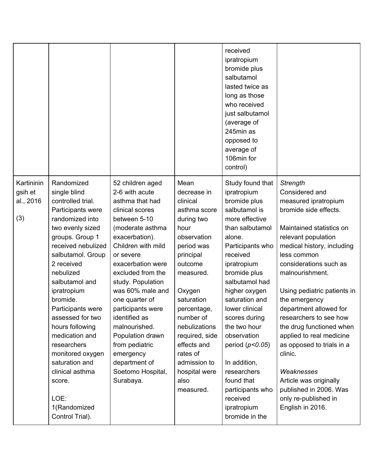|                                           |                                                                                                                                                                                                                                                                                                                                                                                                                                                              |                                                                                                                                                                                                                                                                                                                                                                                                                                     |                                                                                                                                                                                                                                                                                                                 | received<br>ipratropium<br>bromide plus<br>salbutamol<br>lasted twice as<br>long as those<br>who received<br>just salbutamol<br>(average of<br>245min as<br>opposed to<br>average of<br>106min for<br>control)                                                                                                                                                                                                                           |                                                                                                                                                                                                                                                                                                                                                                                                                                                                                                                                            |
|-------------------------------------------|--------------------------------------------------------------------------------------------------------------------------------------------------------------------------------------------------------------------------------------------------------------------------------------------------------------------------------------------------------------------------------------------------------------------------------------------------------------|-------------------------------------------------------------------------------------------------------------------------------------------------------------------------------------------------------------------------------------------------------------------------------------------------------------------------------------------------------------------------------------------------------------------------------------|-----------------------------------------------------------------------------------------------------------------------------------------------------------------------------------------------------------------------------------------------------------------------------------------------------------------|------------------------------------------------------------------------------------------------------------------------------------------------------------------------------------------------------------------------------------------------------------------------------------------------------------------------------------------------------------------------------------------------------------------------------------------|--------------------------------------------------------------------------------------------------------------------------------------------------------------------------------------------------------------------------------------------------------------------------------------------------------------------------------------------------------------------------------------------------------------------------------------------------------------------------------------------------------------------------------------------|
| Kartininin<br>gsih et<br>al., 2016<br>(3) | Randomized<br>single blind<br>controlled trial.<br>Participants were<br>randomized into<br>two evenly sized<br>groups. Group 1<br>received nebulized<br>salbutamol. Group<br>2 received<br>nebulized<br>salbutamol and<br>ipratropium<br>bromide.<br>Participants were<br>assessed for two<br>hours following<br>medication and<br>researchers<br>monitored oxygen<br>saturation and<br>clinical asthma<br>score.<br>LOE:<br>1(Randomized<br>Control Trial). | 52 children aged<br>2-6 with acute<br>asthma that had<br>clinical scores<br>between 5-10<br>(moderate asthma<br>exacerbation).<br>Children with mild<br>or severe<br>exacerbation were<br>excluded from the<br>study. Population<br>was 60% male and<br>one quarter of<br>participants were<br>identified as<br>malnourished.<br>Population drawn<br>from pediatric<br>emergency<br>department of<br>Soetomo Hospital,<br>Surabaya. | Mean<br>decrease in<br>clinical<br>asthma score<br>during two<br>hour<br>observation<br>period was<br>principal<br>outcome<br>measured.<br>Oxygen<br>saturation<br>percentage,<br>number of<br>nebulizations<br>required, side<br>effects and<br>rates of<br>admission to<br>hospital were<br>also<br>measured. | Study found that<br>ipratropium<br>bromide plus<br>salbutamol is<br>more effective<br>than salbutamol<br>alone.<br>Participants who<br>received<br>ipratropium<br>bromide plus<br>salbutamol had<br>higher oxygen<br>saturation and<br>lower clinical<br>scores during<br>the two hour<br>observation<br>period $(p<0.05)$<br>In addition,<br>researchers<br>found that<br>participants who<br>received<br>ipratropium<br>bromide in the | Strength<br>Considered and<br>measured ipratropium<br>bromide side effects.<br>Maintained statistics on<br>relevant population<br>medical history, including<br>less common<br>considerations such as<br>malnourishment.<br>Using pediatric patients in<br>the emergency<br>department allowed for<br>researchers to see how<br>the drug functioned when<br>applied to real medicine<br>as opposed to trials in a<br>clinic.<br>Weaknesses<br>Article was originally<br>published in 2006. Was<br>only re-published in<br>English in 2016. |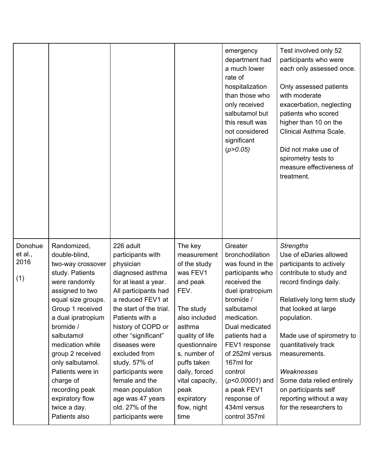|                                   |                                                                                                                                                                                                                                                                                                                                                                        |                                                                                                                                                                                                                                                                                                                                                                                                          |                                                                                                                                                                                                                                                                    | emergency<br>department had<br>a much lower<br>rate of<br>hospitalization<br>than those who<br>only received<br>salbutamol but<br>this result was<br>not considered<br>significant<br>(p > 0.05)                                                                                                                                     | Test involved only 52<br>participants who were<br>each only assessed once.<br>Only assessed patients<br>with moderate<br>exacerbation, neglecting<br>patients who scored<br>higher than 10 on the<br>Clinical Asthma Scale.<br>Did not make use of<br>spirometry tests to<br>measure effectiveness of<br>treatment.                                                                            |
|-----------------------------------|------------------------------------------------------------------------------------------------------------------------------------------------------------------------------------------------------------------------------------------------------------------------------------------------------------------------------------------------------------------------|----------------------------------------------------------------------------------------------------------------------------------------------------------------------------------------------------------------------------------------------------------------------------------------------------------------------------------------------------------------------------------------------------------|--------------------------------------------------------------------------------------------------------------------------------------------------------------------------------------------------------------------------------------------------------------------|--------------------------------------------------------------------------------------------------------------------------------------------------------------------------------------------------------------------------------------------------------------------------------------------------------------------------------------|------------------------------------------------------------------------------------------------------------------------------------------------------------------------------------------------------------------------------------------------------------------------------------------------------------------------------------------------------------------------------------------------|
| Donohue<br>et al.,<br>2016<br>(1) | Randomized,<br>double-blind,<br>two-way crossover<br>study. Patients<br>were randomly<br>assigned to two<br>equal size groups.<br>Group 1 received<br>a dual ipratropium<br>bromide /<br>salbutamol<br>medication while<br>group 2 received<br>only salbutamol.<br>Patients were in<br>charge of<br>recording peak<br>expiratory flow<br>twice a day.<br>Patients also | 226 adult<br>participants with<br>physician<br>diagnosed asthma<br>for at least a year.<br>All participants had<br>a reduced FEV1 at<br>the start of the trial.<br>Patients with a<br>history of COPD or<br>other "significant"<br>diseases were<br>excluded from<br>study. 57% of<br>participants were<br>female and the<br>mean population<br>age was 47 years<br>old. 27% of the<br>participants were | The key<br>measurement<br>of the study<br>was FEV1<br>and peak<br>FEV.<br>The study<br>also included<br>asthma<br>quality of life<br>questionnaire<br>s, number of<br>puffs taken<br>daily, forced<br>vital capacity,<br>peak<br>expiratory<br>flow, night<br>time | Greater<br>bronchodilation<br>was found in the<br>participants who<br>received the<br>duel ipratropium<br>bromide /<br>salbutamol<br>medication.<br>Dual medicated<br>patients had a<br>FEV1 response<br>of 252ml versus<br>167ml for<br>control<br>$(p<0.00001)$ and<br>a peak FEV1<br>response of<br>434ml versus<br>control 357ml | <b>Strengths</b><br>Use of eDaries allowed<br>participants to actively<br>contribute to study and<br>record findings daily.<br>Relatively long term study<br>that looked at large<br>population.<br>Made use of spirometry to<br>quantitatively track<br>measurements.<br>Weaknesses<br>Some data relied entirely<br>on participants self<br>reporting without a way<br>for the researchers to |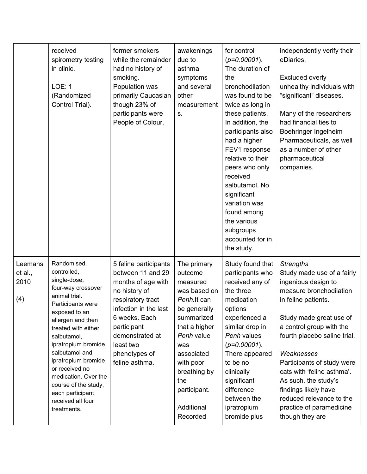|                                   | received<br>spirometry testing<br>in clinic.<br><b>LOE: 1</b><br>(Randomized<br>Control Trial).                                                                                                                                                                                                                                                                               | former smokers<br>while the remainder<br>had no history of<br>smoking.<br>Population was<br>primarily Caucasian<br>though 23% of<br>participants were<br>People of Colour.                                                         | awakenings<br>due to<br>asthma<br>symptoms<br>and several<br>other<br>measurement<br>S.                                                                                                                                           | for control<br>$(p=0.00001)$ .<br>The duration of<br>the<br>bronchodilation<br>was found to be<br>twice as long in<br>these patients.<br>In addition, the<br>participants also<br>had a higher<br>FEV1 response<br>relative to their<br>peers who only<br>received<br>salbutamol. No<br>significant<br>variation was<br>found among<br>the various<br>subgroups<br>accounted for in<br>the study. | independently verify their<br>eDiaries.<br><b>Excluded overly</b><br>unhealthy individuals with<br>"significant" diseases.<br>Many of the researchers<br>had financial ties to<br>Boehringer Ingelheim<br>Pharmaceuticals, as well<br>as a number of other<br>pharmaceutical<br>companies.                                                                                                                          |
|-----------------------------------|-------------------------------------------------------------------------------------------------------------------------------------------------------------------------------------------------------------------------------------------------------------------------------------------------------------------------------------------------------------------------------|------------------------------------------------------------------------------------------------------------------------------------------------------------------------------------------------------------------------------------|-----------------------------------------------------------------------------------------------------------------------------------------------------------------------------------------------------------------------------------|---------------------------------------------------------------------------------------------------------------------------------------------------------------------------------------------------------------------------------------------------------------------------------------------------------------------------------------------------------------------------------------------------|---------------------------------------------------------------------------------------------------------------------------------------------------------------------------------------------------------------------------------------------------------------------------------------------------------------------------------------------------------------------------------------------------------------------|
| Leemans<br>et al.,<br>2010<br>(4) | Randomised,<br>controlled,<br>single-dose,<br>four-way crossover<br>animal trial.<br>Participants were<br>exposed to an<br>allergen and then<br>treated with either<br>salbutamol,<br>ipratropium bromide,<br>salbutamol and<br>ipratropium bromide<br>or received no<br>medication. Over the<br>course of the study,<br>each participant<br>received all four<br>treatments. | 5 feline participants<br>between 11 and 29<br>months of age with<br>no history of<br>respiratory tract<br>infection in the last<br>6 weeks. Each<br>participant<br>demonstrated at<br>least two<br>phenotypes of<br>feline asthma. | The primary<br>outcome<br>measured<br>was based on<br>Penh.It can<br>be generally<br>summarized<br>that a higher<br>Penh value<br>was<br>associated<br>with poor<br>breathing by<br>the<br>participant.<br>Additional<br>Recorded | Study found that<br>participants who<br>received any of<br>the three<br>medication<br>options<br>experienced a<br>similar drop in<br>Penh values<br>$(p=0.00001)$ .<br>There appeared<br>to be no<br>clinically<br>significant<br>difference<br>between the<br>ipratropium<br>bromide plus                                                                                                        | <b>Strengths</b><br>Study made use of a fairly<br>ingenious design to<br>measure bronchodilation<br>in feline patients.<br>Study made great use of<br>a control group with the<br>fourth placebo saline trial.<br>Weaknesses<br>Participants of study were<br>cats with 'feline asthma'.<br>As such, the study's<br>findings likely have<br>reduced relevance to the<br>practice of paramedicine<br>though they are |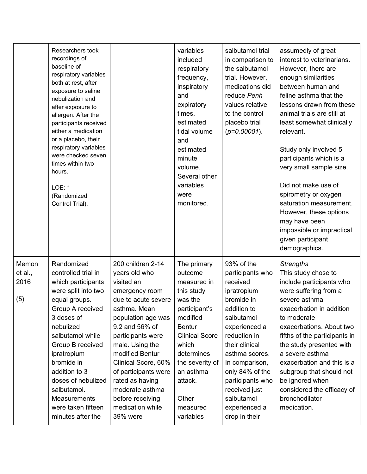|                                 | Researchers took<br>recordings of<br>baseline of<br>respiratory variables<br>both at rest, after<br>exposure to saline<br>nebulization and<br>after exposure to<br>allergen. After the<br>participants received<br>either a medication<br>or a placebo, their<br>respiratory variables<br>were checked seven<br>times within two<br>hours.<br>LOE: 1<br>(Randomized<br>Control Trial). |                                                                                                                                                                                                                                                                                                                                                       | variables<br>included<br>respiratory<br>frequency,<br>inspiratory<br>and<br>expiratory<br>times,<br>estimated<br>tidal volume<br>and<br>estimated<br>minute<br>volume.<br>Several other<br>variables<br>were<br>monitored.                | salbutamol trial<br>in comparison to<br>the salbutamol<br>trial. However,<br>medications did<br>reduce Penh<br>values relative<br>to the control<br>placebo trial<br>$(p=0.00001)$ .                                                                                                                | assumedly of great<br>interest to veterinarians.<br>However, there are<br>enough similarities<br>between human and<br>feline asthma that the<br>lessons drawn from these<br>animal trials are still at<br>least somewhat clinically<br>relevant.<br>Study only involved 5<br>participants which is a<br>very small sample size.<br>Did not make use of<br>spirometry or oxygen<br>saturation measurement.<br>However, these options<br>may have been<br>impossible or impractical<br>given participant<br>demographics. |
|---------------------------------|----------------------------------------------------------------------------------------------------------------------------------------------------------------------------------------------------------------------------------------------------------------------------------------------------------------------------------------------------------------------------------------|-------------------------------------------------------------------------------------------------------------------------------------------------------------------------------------------------------------------------------------------------------------------------------------------------------------------------------------------------------|-------------------------------------------------------------------------------------------------------------------------------------------------------------------------------------------------------------------------------------------|-----------------------------------------------------------------------------------------------------------------------------------------------------------------------------------------------------------------------------------------------------------------------------------------------------|-------------------------------------------------------------------------------------------------------------------------------------------------------------------------------------------------------------------------------------------------------------------------------------------------------------------------------------------------------------------------------------------------------------------------------------------------------------------------------------------------------------------------|
| Memon<br>et al.,<br>2016<br>(5) | Randomized<br>controlled trial in<br>which participants<br>were split into two<br>equal groups.<br>Group A received<br>3 doses of<br>nebulized<br>salbutamol while<br>Group B received<br>ipratropium<br>bromide in<br>addition to 3<br>doses of nebulized<br>salbutamol.<br>Measurements<br>were taken fifteen<br>minutes after the                                                   | 200 children 2-14<br>years old who<br>visited an<br>emergency room<br>due to acute severe<br>asthma. Mean<br>population age was<br>9.2 and 56% of<br>participants were<br>male. Using the<br>modified Bentur<br>Clinical Score, 60%<br>of participants were<br>rated as having<br>moderate asthma<br>before receiving<br>medication while<br>39% were | The primary<br>outcome<br>measured in<br>this study<br>was the<br>participant's<br>modified<br><b>Bentur</b><br><b>Clinical Score</b><br>which<br>determines<br>the severity of<br>an asthma<br>attack.<br>Other<br>measured<br>variables | 93% of the<br>participants who<br>received<br>ipratropium<br>bromide in<br>addition to<br>salbutamol<br>experienced a<br>reduction in<br>their clinical<br>asthma scores.<br>In comparison,<br>only 84% of the<br>participants who<br>received just<br>salbutamol<br>experienced a<br>drop in their | <b>Strengths</b><br>This study chose to<br>include participants who<br>were suffering from a<br>severe asthma<br>exacerbation in addition<br>to moderate<br>exacerbations. About two<br>fifths of the participants in<br>the study presented with<br>a severe asthma<br>exacerbation and this is a<br>subgroup that should not<br>be ignored when<br>considered the efficacy of<br>bronchodilator<br>medication.                                                                                                        |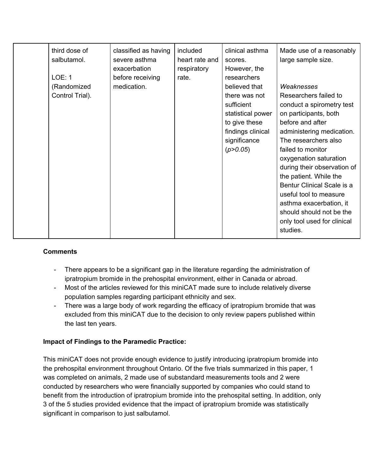| third dose of   | classified as having | included       | clinical asthma   | Made use of a reasonably    |
|-----------------|----------------------|----------------|-------------------|-----------------------------|
| salbutamol.     | severe asthma        | heart rate and | scores.           | large sample size.          |
|                 | exacerbation         | respiratory    | However, the      |                             |
| <b>LOE: 1</b>   | before receiving     | rate.          | researchers       |                             |
| (Randomized     | medication.          |                | believed that     | Weaknesses                  |
| Control Trial). |                      |                | there was not     | Researchers failed to       |
|                 |                      |                | sufficient        | conduct a spirometry test   |
|                 |                      |                | statistical power | on participants, both       |
|                 |                      |                | to give these     | before and after            |
|                 |                      |                | findings clinical | administering medication.   |
|                 |                      |                | significance      | The researchers also        |
|                 |                      |                | (p > 0.05)        | failed to monitor           |
|                 |                      |                |                   | oxygenation saturation      |
|                 |                      |                |                   | during their observation of |
|                 |                      |                |                   | the patient. While the      |
|                 |                      |                |                   | Bentur Clinical Scale is a  |
|                 |                      |                |                   | useful tool to measure      |
|                 |                      |                |                   | asthma exacerbation, it     |
|                 |                      |                |                   | should should not be the    |
|                 |                      |                |                   | only tool used for clinical |
|                 |                      |                |                   | studies.                    |

# **Comments**

- There appears to be a significant gap in the literature regarding the administration of ipratropium bromide in the prehospital environment, either in Canada or abroad.
- Most of the articles reviewed for this miniCAT made sure to include relatively diverse population samples regarding participant ethnicity and sex.
- There was a large body of work regarding the efficacy of ipratropium bromide that was excluded from this miniCAT due to the decision to only review papers published within the last ten years.

# **Impact of Findings to the Paramedic Practice:**

This miniCAT does not provide enough evidence to justify introducing ipratropium bromide into the prehospital environment throughout Ontario. Of the five trials summarized in this paper, 1 was completed on animals, 2 made use of substandard measurements tools and 2 were conducted by researchers who were financially supported by companies who could stand to benefit from the introduction of ipratropium bromide into the prehospital setting. In addition, only 3 of the 5 studies provided evidence that the impact of ipratropium bromide was statistically significant in comparison to just salbutamol.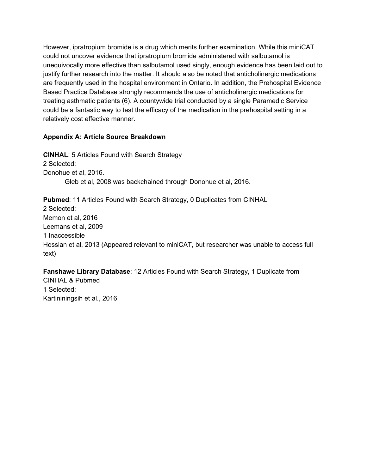However, ipratropium bromide is a drug which merits further examination. While this miniCAT could not uncover evidence that ipratropium bromide administered with salbutamol is unequivocally more effective than salbutamol used singly, enough evidence has been laid out to justify further research into the matter. It should also be noted that anticholinergic medications are frequently used in the hospital environment in Ontario. In addition, the Prehospital Evidence Based Practice Database strongly recommends the use of anticholinergic medications for treating asthmatic patients (6). A countywide trial conducted by a single Paramedic Service could be a fantastic way to test the efficacy of the medication in the prehospital setting in a relatively cost effective manner.

# **Appendix A: Article Source Breakdown**

**CINHAL**: 5 Articles Found with Search Strategy 2 Selected: Donohue et al, 2016. Gleb et al, 2008 was backchained through Donohue et al, 2016.

**Pubmed**: 11 Articles Found with Search Strategy, 0 Duplicates from CINHAL 2 Selected: Memon et al, 2016 Leemans et al, 2009 1 Inaccessible Hossian et al, 2013 (Appeared relevant to miniCAT, but researcher was unable to access full text)

**Fanshawe Library Database**: 12 Articles Found with Search Strategy, 1 Duplicate from CINHAL & Pubmed 1 Selected: Kartininingsih et al., 2016